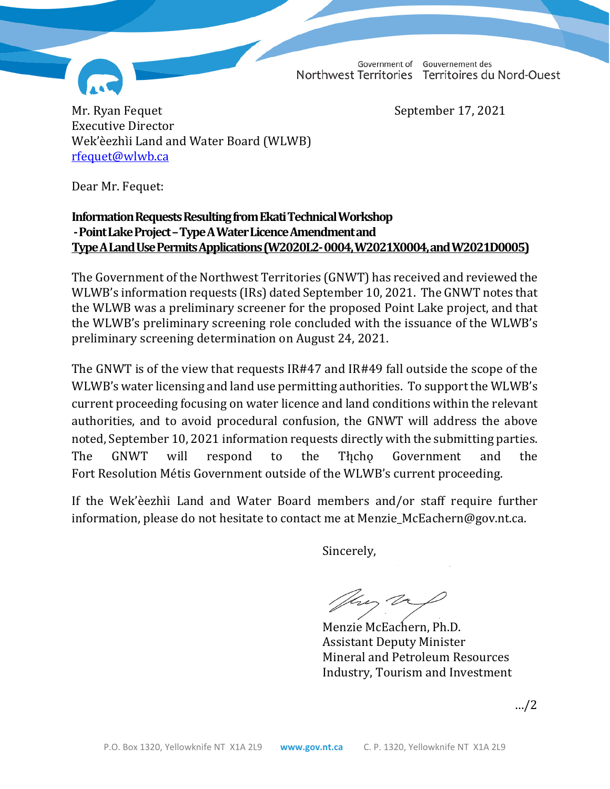Government of Gouvernement des Northwest Territories Territoires du Nord-Ouest



Mr. Ryan Fequet September 17, 2021 Executive Director Wek'èezhìi Land and Water Board (WLWB) [rfequet@wlwb.ca](mailto:rfequet@wlwb.ca)

Dear Mr. Fequet:

## **Information Requests Resulting from Ekati Technical Workshop -Point Lake Project –Type A Water Licence Amendment and Type A Land Use Permits Applications (W2020L2-0004, W2021X0004, and W2021D0005)**

The Government of the Northwest Territories (GNWT) has received and reviewed the WLWB's information requests (IRs) dated September 10, 2021. The GNWT notes that the WLWB was a preliminary screener for the proposed Point Lake project, and that the WLWB's preliminary screening role concluded with the issuance of the WLWB's preliminary screening determination on August 24, 2021.

The GNWT is of the view that requests IR#47 and IR#49 fall outside the scope of the WLWB's water licensing and land use permitting authorities. To support the WLWB's current proceeding focusing on water licence and land conditions within the relevant authorities, and to avoid procedural confusion, the GNWT will address the above noted, September 10, 2021 information requests directly with the submitting parties. The GNWT will respond to the Tłı̨chǫ Government and the Fort Resolution Métis Government outside of the WLWB's current proceeding.

If the Wek'èezhìi Land and Water Board members and/or staff require further information, please do not hesitate to contact me at Menzie\_McEachern@gov.nt.ca.

Sincerely,

tres Va

Menzie McEachern, Ph.D. Assistant Deputy Minister Mineral and Petroleum Resources Industry, Tourism and Investment

…/2